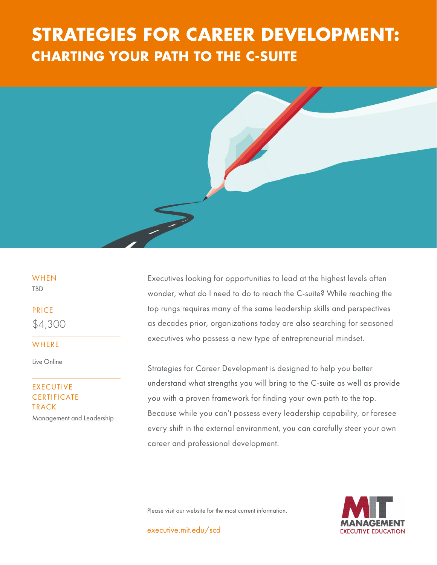# **CHARTING YOUR PATH TO THE C-SUITE STRATEGIES FOR CAREER DEVELOPMENT:**



## WHEN

TBD

PRICE \$4,300

WHERE

Live Online

### EXECUTIVE **CERTIFICATE** TRACK

Management and Leadership

Executives looking for opportunities to lead at the highest levels often wonder, what do I need to do to reach the C-suite? While reaching the top rungs requires many of the same leadership skills and perspectives as decades prior, organizations today are also searching for seasoned executives who possess a new type of entrepreneurial mindset.

Strategies for Career Development is designed to help you better understand what strengths you will bring to the C-suite as well as provide you with a proven framework for finding your own path to the top. Because while you can't possess every leadership capability, or foresee every shift in the external environment, you can carefully steer your own career and professional development.



Please visit our website for the most current information.

executive.mit.edu/scd